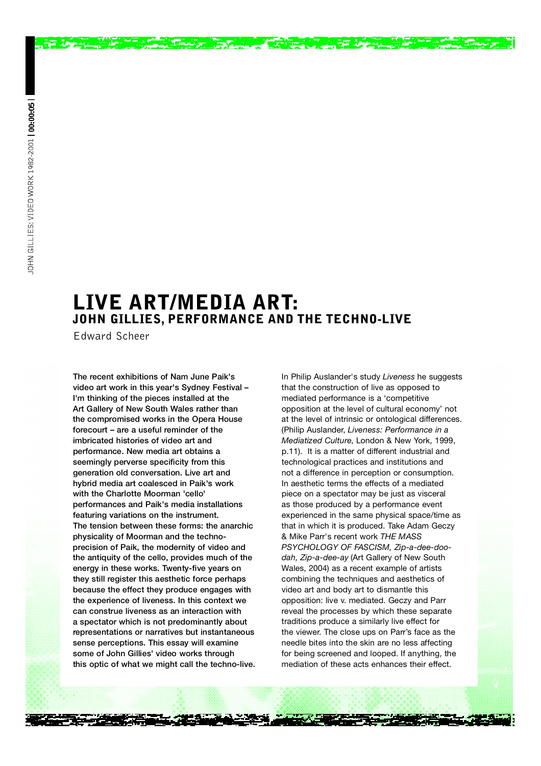## LIVE ART/MEDIA ART: JOHN GILLIES, PERFORMANCE AND THE TECHNO-LIVE

E dward Scheer

The recent exhibitions of Nam June Paik's video art work in this year's Sydney Festival – I'm thinking of the pieces installed at the Art Gallery of New South Wales rather than the compromised works in the Opera House forecourt – are a useful reminder of the imbricated histories of video art and performance. New media art obtains a seemingly perverse specificity from this generation old conversation. Live art and hybrid media art coalesced in Paik's work with the Charlotte Moorman 'cello' performances and Paik's media installations featuring variations on the instrument. The tension between these forms: the anarchic physicality of Moorman and the technop recision of Paik, the modernity of video and the antiquity of the cello, provides much of the energy in these works. Twenty-five years on they still register this aesthetic force perhaps because the effect they produce engages with the experience of liveness. In this context we can construe liveness as an interaction with a spectator which is not predominantly about representations or narratives but instantaneous sense perceptions. This essay will examine some of John Gillies' video works through this optic of what we might call the techno-live. In Philip Auslander's study *Liveness* he suggests that the construction of live as opposed to mediated performance is a 'competitive opposition at the level of cultural economy' not at the level of intrinsic or ontological differences. (Philip Auslander, *Liveness: Performance in a Mediatized Culture*, London & New York, 1999, p.11). It is a matter of different industrial and technological practices and institutions and not a difference in perception or consumption. In aesthetic terms the effects of a mediated piece on a spectator may be just as visceral as those produced by a performance event experienced in the same physical space/time as that in which it is produced. Take Adam Geczy & Mike Parr's recent work *THE MASS* PSYCHOLOGY OF FASCISM, Zip-a-dee-doo*dah, Zip-a-dee-ay* (Art Gallery of New South Wales, 2004) as a recent example of artists combining the techniques and aesthetics of video art and body art to dismantle this opposition: live v. mediated. Geczy and Parr reveal the processes by which these separate traditions produce a similarly live effect for the viewer. The close ups on Parr's face as the needle bites into the skin are no less affecting for being screened and looped. If anything, the mediation of these acts enhances their effect.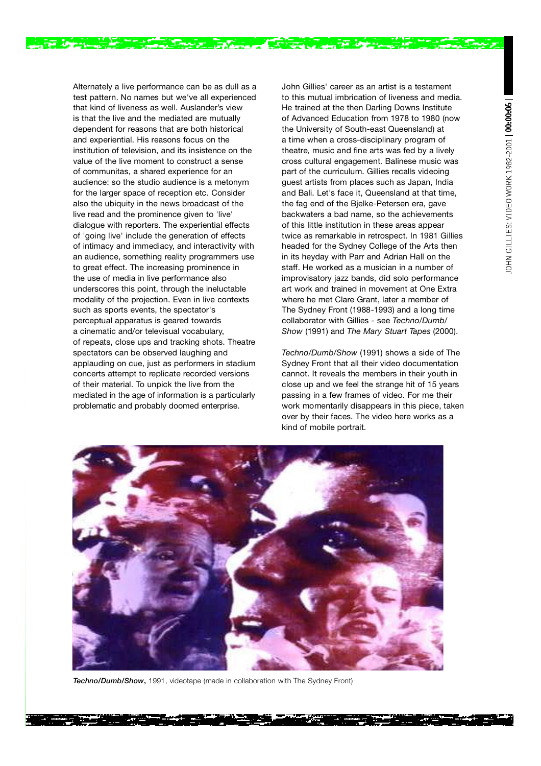Alternately a live performance can be as dull as a test pattern. No names but we've all experienced that kind of liveness as well. Auslander's view is that the live and the mediated are mutually dependent for reasons that are both historical and experiential. His reasons focus on the institution of television, and its insistence on the value of the live moment to construct a sense of communitas, a shared experience for an audience: so the studio audience is a metonym for the larger space of reception etc. Consider also the ubiquity in the news broadcast of the live read and the prominence given to 'live' dialogue with reporters. The experiential effects of 'going live' include the generation of effects of intimacy and immediacy, and interactivity with an audience, something reality programmers use to great effect. The increasing prominence in the use of media in live performance also underscores this point, through the ineluctable modality of the projection. Even in live contexts such as sports events, the spectator's perceptual apparatus is geared towards a cinematic and/or televisual vocabulary, of repeats, close ups and tracking shots. Theatre spectators can be observed laughing and applauding on cue, just as performers in stadium concerts attempt to replicate recorded versions of their material. To unpick the live from the mediated in the age of information is a particularly p roblematic and probably doomed enterprise.

John Gillies' career as an artist is a testament to this mutual imbrication of liveness and media. He trained at the then Darling Downs Institute of Advanced Education from 1978 to 1980 (now the University of South-east Queensland) at a time when a cross-disciplinary program of theatre, music and fine arts was fed by a lively cross cultural engagement. Balinese music was part of the curriculum. Gillies recalls videoing guest artists from places such as Japan, India and Bali. Let's face it, Queensland at that time, the fag end of the Bjelke-Petersen era, gave backwaters a bad name, so the achievements of this little institution in these areas appear twice as remarkable in retrospect. In 1981 Gillies headed for the Sydney College of the Arts then in its heyday with Parr and Adrian Hall on the staff. He worked as a musician in a number of improvisatory jazz bands, did solo performance art work and trained in movement at One Extra where he met Clare Grant, later a member of The Sydney Front (1988-1993) and a long time collaborator with Gillies - see Techno/Dumb/ *Show* (1991) and *The Mary Stuart Tapes* (2000).

*Techno/Dumb/Show* (1991) shows a side of The Sydney Front that all their video documentation cannot. It reveals the members in their youth in close up and we feel the strange hit of 15 years passing in a few frames of video. For me their work momentarily disappears in this piece, taken over by their faces. The video here works as a kind of mobile portrait.



**Techno/Dumb/Show, 1991, videotape (made in collaboration with The Sydney Front)**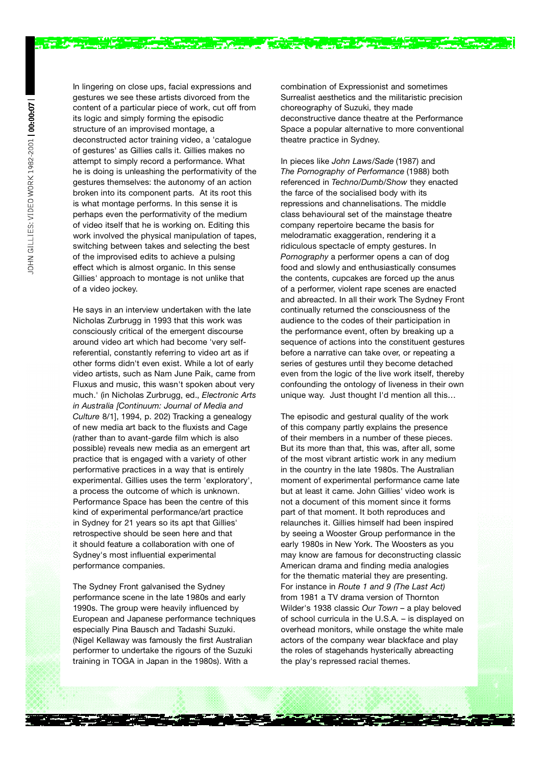In lingering on close ups, facial expressions and gestures we see these artists divorced from the content of a particular piece of work, cut off from its logic and simply forming the episodic structure of an improvised montage, a deconstructed actor training video, a 'catalogue of gestures' as Gillies calls it. Gillies makes no attempt to simply record a performance. What he is doing is unleashing the performativity of the gestures themselves: the autonomy of an action broken into its component parts. At its root this is what montage performs. In this sense it is perhaps even the performativity of the medium of video itself that he is working on. Editing this work involved the physical manipulation of tapes, switching between takes and selecting the best of the improvised edits to achieve a pulsing e ffect which is almost organic. In this sense Gillies' approach to montage is not unlike that of a video jockey.

He says in an interview undertaken with the late Nicholas Zurbrugg in 1993 that this work was consciously critical of the emergent discourse around video art which had become 'very selfreferential, constantly referring to video art as if other forms didn't even exist. While a lot of early video artists, such as Nam June Paik, came from Fluxus and music, this wasn't spoken about very much.' (in Nicholas Zurbrugg, ed., *Electronic Arts in Australia [Continuum: Journal of Media and Culture 8/1*], 1994, p. 202) Tracking a genealogy of new media art back to the fluxists and Cage (rather than to avant-garde film which is also possible) reveals new media as an emergent art practice that is engaged with a variety of other performative practices in a way that is entirely experimental. Gillies uses the term 'exploratory', a process the outcome of which is unknown. Performance Space has been the centre of this kind of experimental performance/art practice in Sydney for 21 years so its apt that Gillies' retrospective should be seen here and that it should feature a collaboration with one of Sydney's most influential experimental performance companies.

The Sydney Front galvanised the Sydney performance scene in the late 1980s and early 1990s. The group were heavily influenced by European and Japanese performance techniques especially Pina Bausch and Tadashi Suzuki. (Nigel Kellaway was famously the first Australian performer to undertake the rigours of the Suzuki training in TOGA in Japan in the 1980s). With a

combination of Expressionist and sometimes Surrealist aesthetics and the militaristic precision choreography of Suzuki, they made deconstructive dance theatre at the Performance Space a popular alternative to more conventional theatre practice in Sydney.

**Contact of the Contact of Action** 

In pieces like *John Laws/Sade* (1987) and The Pornography of Performance (1988) both referenced in *Techno/Dumb/Show* they enacted the farce of the socialised body with its repressions and channelisations. The middle class behavioural set of the mainstage theatre company repertoire became the basis for melodramatic exaggeration, rendering it a ridiculous spectacle of empty gestures. In *Pornography* a performer opens a can of dog food and slowly and enthusiastically consumes the contents, cupcakes are forced up the anus of a performer, violent rape scenes are enacted and abreacted. In all their work The Sydney Front continually returned the consciousness of the audience to the codes of their participation in the performance event, often by breaking up a sequence of actions into the constituent gestures before a narrative can take over, or repeating a series of gestures until they become detached even from the logic of the live work itself, thereby confounding the ontology of liveness in their own unique way. Just thought I'd mention all this…

The episodic and gestural quality of the work of this company partly explains the presence of their members in a number of these pieces. But its more than that, this was, after all, some of the most vibrant artistic work in any medium in the country in the late 1980s. The Australian moment of experimental performance came late but at least it came. John Gillies' video work is not a document of this moment since it forms part of that moment. It both reproduces and relaunches it. Gillies himself had been inspired by seeing a Wooster Group performance in the early 1980s in New York. The Woosters as you may know are famous for deconstructing classic American drama and finding media analogies for the thematic material they are presenting. For instance in *Route 1 and 9 (The Last Act)* from 1981 a TV drama version of Thornton Wilder's 1938 classic Our Town - a play beloved of school curricula in the U.S.A. – is displayed on overhead monitors, while onstage the white male actors of the company wear blackface and play the roles of stagehands hysterically abreacting the play's repressed racial themes.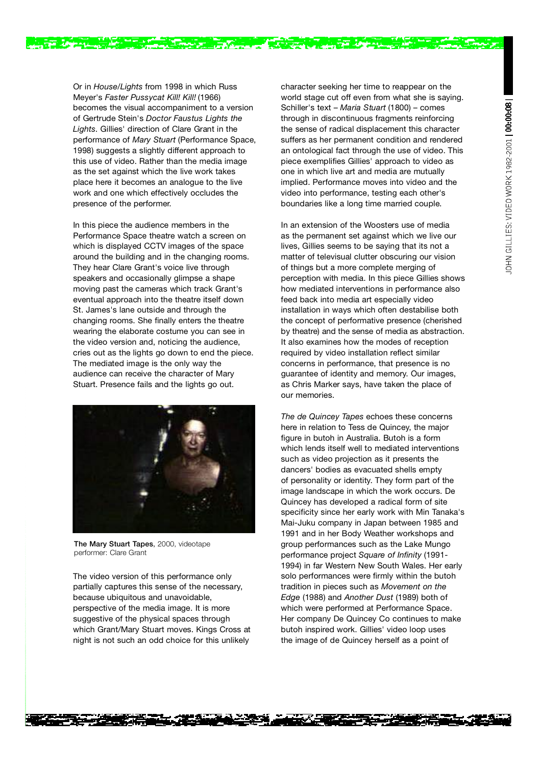Or in *House/Lights* from 1998 in which Russ Meyer's *Faster Pussycat Kill! Kill!* (1966) becomes the visual accompaniment to a version of Gertrude Stein's *Doctor Faustus Lights the* Lights. Gillies' direction of Clare Grant in the performance of *Mary Stuart* (Performance Space, 1998) suggests a slightly different approach to this use of video. Rather than the media image as the set against which the live work takes place here it becomes an analogue to the live work and one which effectively occludes the presence of the performer.

In this piece the audience members in the Performance Space theatre watch a screen on which is displayed CCTV images of the space around the building and in the changing rooms. They hear Clare Grant's voice live through speakers and occasionally glimpse a shape moving past the cameras which track Grant's eventual approach into the theatre itself down St. James's lane outside and through the changing rooms. She finally enters the theatre wearing the elaborate costume you can see in the video version and, noticing the audience, cries out as the lights go down to end the piece. The mediated image is the only way the audience can receive the character of Mary Stuart. Presence fails and the lights go out.



The Mary Stuart Tapes, 2000, videotape performer: Clare Grant

The video version of this performance only partially captures this sense of the necessary, because ubiquitous and unavoidable, perspective of the media image. It is more suggestive of the physical spaces through which Grant/Mary Stuart moves. Kings Cross at night is not such an odd choice for this unlikely

character seeking her time to reappear on the world stage cut off even from what she is saying. Schiller's text – *Maria Stuart* (1800) – comes through in discontinuous fragments reinforcing the sense of radical displacement this character suffers as her permanent condition and rendered an ontological fact through the use of video. This piece exemplifies Gillies' approach to video as one in which live art and media are mutually implied. Performance moves into video and the video into performance, testing each other's boundaries like a long time married couple.

**The Committee of the Committee of the Committee** 

In an extension of the Woosters use of media as the permanent set against which we live our lives, Gillies seems to be saying that its not a matter of televisual clutter obscuring our vision of things but a more complete merging of perception with media. In this piece Gillies shows how mediated interventions in performance also feed back into media art especially video installation in ways which often destabilise both the concept of performative presence (cherished by theatre) and the sense of media as abstraction. It also examines how the modes of reception required by video installation reflect similar concerns in performance, that presence is no guarantee of identity and memory. Our images, as Chris Marker says, have taken the place of our memories.

The de Quincey Tapes echoes these concerns here in relation to Tess de Quincey, the major figure in butoh in Australia. Butoh is a form which lends itself well to mediated interventions such as video projection as it presents the dancers' bodies as evacuated shells empty of personality or identity. They form part of the image landscape in which the work occurs. De Quincey has developed a radical form of site specificity since her early work with Min Tanaka's Mai-Juku company in Japan between 1985 and 1991 and in her Body Weather workshops and group performances such as the Lake Mungo performance project *Square of Infinity* (1991-1994) in far Western New South Wales. Her early solo performances were firmly within the butoh tradition in pieces such as *Movement on the E d g e* (1988) and *Another Dust* (1989) both of which were performed at Performance Space. Her company De Quincey Co continues to make butoh inspired work. Gillies' video loop uses the image of de Quincey herself as a point of